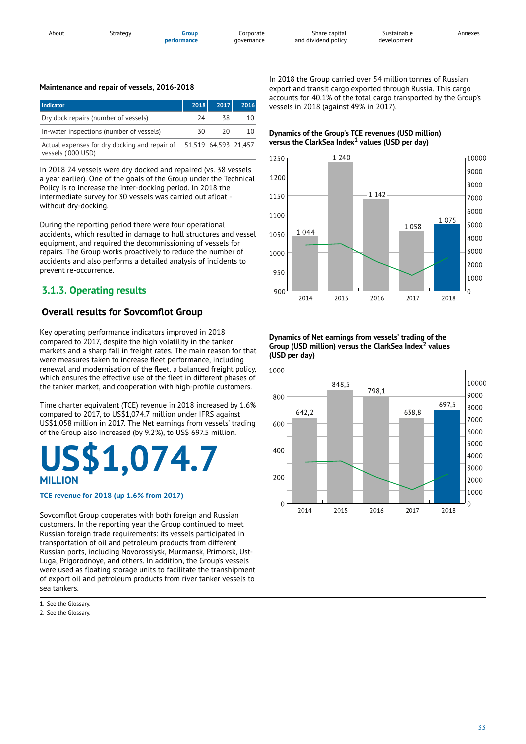#### **Maintenance and repair of vessels, 2016-2018**

| <b>Indicator</b>                                                                         | 2018 | 2017 | 2016 |
|------------------------------------------------------------------------------------------|------|------|------|
| Dry dock repairs (number of vessels)                                                     | 74   | 38   | 10   |
| In-water inspections (number of vessels)                                                 | 30   | 20   | 10   |
| Actual expenses for dry docking and repair of 51,519 64,593 21,457<br>vessels ('000 USD) |      |      |      |

In 2018 24 vessels were dry docked and repaired (vs. 38 vessels a year earlier). One of the goals of the Group under the Technical Policy is to increase the inter-docking period. In 2018 the intermediate survey for 30 vessels was carried out afloat without dry-docking.

During the reporting period there were four operational accidents, which resulted in damage to hull structures and vessel equipment, and required the decommissioning of vessels for repairs. The Group works proactively to reduce the number of accidents and also performs a detailed analysis of incidents to prevent re-occurrence.

# **3.1.3. Operating results**

# **Overall results for Sovcom�ot Group**

Key operating performance indicators improved in 2018 compared to 2017, despite the high volatility in the tanker markets and a sharp fall in freight rates. The main reason for that were measures taken to increase fleet performance, including renewal and modernisation of the fleet, a balanced freight policy, which ensures the effective use of the fleet in different phases of the tanker market, and cooperation with high-profile customers.

Time charter equivalent (TCE) revenue in 2018 increased by 1.6% compared to 2017, to US\$1,074.7 million under IFRS against US\$1,058 million in 2017. The Net earnings from vessels' trading of the Group also increased (by 9.2%), to US\$ 697.5 million.

# **US\$1,074.7 MILLION**

#### **TCE revenue for 2018 (up 1.6% from 2017)**

Sovcomflot Group cooperates with both foreign and Russian customers. In the reporting year the Group continued to meet Russian foreign trade requirements: its vessels participated in transportation of oil and petroleum products from different Russian ports, including Novorossiysk, Murmansk, Primorsk, Ust-Luga, Prigorodnoye, and others. In addition, the Group's vessels were used as floating storage units to facilitate the transhipment of export oil and petroleum products from river tanker vessels to sea tankers.

1. See the Glossary.

2. See the Glossary.

In 2018 the Group carried over 54 million tonnes of Russian export and transit cargo exported through Russia. This cargo accounts for 40.1% of the total cargo transported by the Group's vessels in 2018 (against 49% in 2017).

Annexes

#### **Dynamics of the Group's TCE revenues (USD million) versus** the ClarkSea Index<sup>1</sup> values (USD per day)



**Dynamics of Net earnings from vessels' trading of the Group (USD million) versus the ClarkSea Index values 2(USD per day)**

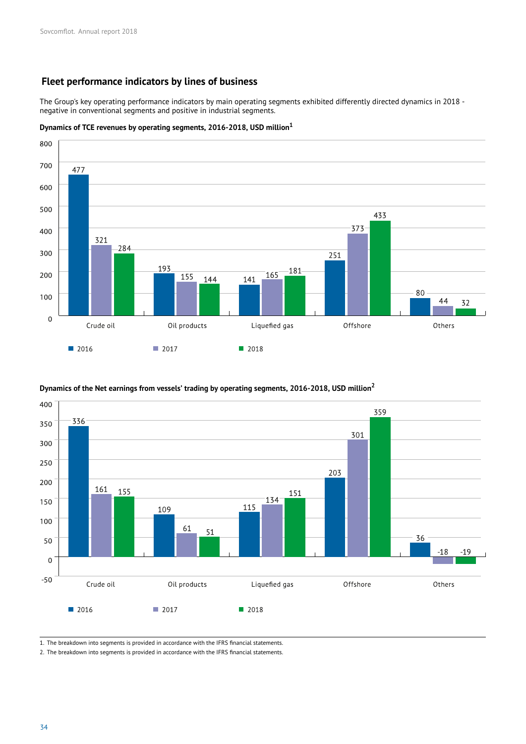## **Fleet performance indicators by lines of business**

The Group's key operating performance indicators by main operating segments exhibited differently directed dynamics in 2018 negative in conventional segments and positive in industrial segments.

#### **Dynamics of TCE revenues by operating segments, 2016-2018, USD million<sup>1</sup>**



#### **Dynamics of the Net earnings from vessels' trading by operating segments, 2016-2018, USD million<sup>2</sup>**



1. The breakdown into segments is provided in accordance with the IFRS financial statements.

2. The breakdown into segments is provided in accordance with the IFRS financial statements.